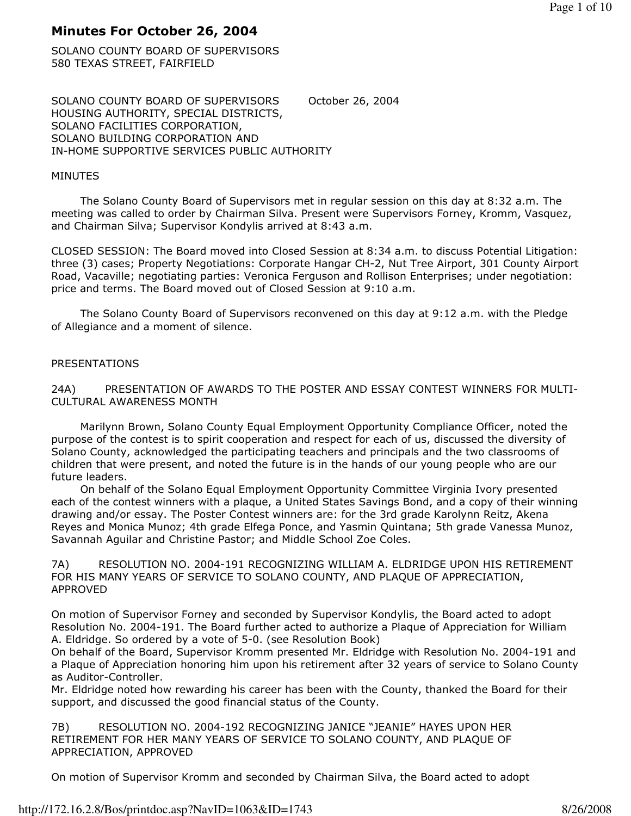# Minutes For October 26, 2004

SOLANO COUNTY BOARD OF SUPERVISORS 580 TEXAS STREET, FAIRFIELD

SOLANO COUNTY BOARD OF SUPERVISORS October 26, 2004 HOUSING AUTHORITY, SPECIAL DISTRICTS, SOLANO FACILITIES CORPORATION, SOLANO BUILDING CORPORATION AND IN-HOME SUPPORTIVE SERVICES PUBLIC AUTHORITY

## MINUTES

 The Solano County Board of Supervisors met in regular session on this day at 8:32 a.m. The meeting was called to order by Chairman Silva. Present were Supervisors Forney, Kromm, Vasquez, and Chairman Silva; Supervisor Kondylis arrived at 8:43 a.m.

CLOSED SESSION: The Board moved into Closed Session at 8:34 a.m. to discuss Potential Litigation: three (3) cases; Property Negotiations: Corporate Hangar CH-2, Nut Tree Airport, 301 County Airport Road, Vacaville; negotiating parties: Veronica Ferguson and Rollison Enterprises; under negotiation: price and terms. The Board moved out of Closed Session at 9:10 a.m.

 The Solano County Board of Supervisors reconvened on this day at 9:12 a.m. with the Pledge of Allegiance and a moment of silence.

# PRESENTATIONS

24A) PRESENTATION OF AWARDS TO THE POSTER AND ESSAY CONTEST WINNERS FOR MULTI-CULTURAL AWARENESS MONTH

 Marilynn Brown, Solano County Equal Employment Opportunity Compliance Officer, noted the purpose of the contest is to spirit cooperation and respect for each of us, discussed the diversity of Solano County, acknowledged the participating teachers and principals and the two classrooms of children that were present, and noted the future is in the hands of our young people who are our future leaders.

 On behalf of the Solano Equal Employment Opportunity Committee Virginia Ivory presented each of the contest winners with a plaque, a United States Savings Bond, and a copy of their winning drawing and/or essay. The Poster Contest winners are: for the 3rd grade Karolynn Reitz, Akena Reyes and Monica Munoz; 4th grade Elfega Ponce, and Yasmin Quintana; 5th grade Vanessa Munoz, Savannah Aguilar and Christine Pastor; and Middle School Zoe Coles.

7A) RESOLUTION NO. 2004-191 RECOGNIZING WILLIAM A. ELDRIDGE UPON HIS RETIREMENT FOR HIS MANY YEARS OF SERVICE TO SOLANO COUNTY, AND PLAQUE OF APPRECIATION, APPROVED

On motion of Supervisor Forney and seconded by Supervisor Kondylis, the Board acted to adopt Resolution No. 2004-191. The Board further acted to authorize a Plaque of Appreciation for William A. Eldridge. So ordered by a vote of 5-0. (see Resolution Book)

On behalf of the Board, Supervisor Kromm presented Mr. Eldridge with Resolution No. 2004-191 and a Plaque of Appreciation honoring him upon his retirement after 32 years of service to Solano County as Auditor-Controller.

Mr. Eldridge noted how rewarding his career has been with the County, thanked the Board for their support, and discussed the good financial status of the County.

7B) RESOLUTION NO. 2004-192 RECOGNIZING JANICE "JEANIE" HAYES UPON HER RETIREMENT FOR HER MANY YEARS OF SERVICE TO SOLANO COUNTY, AND PLAQUE OF APPRECIATION, APPROVED

On motion of Supervisor Kromm and seconded by Chairman Silva, the Board acted to adopt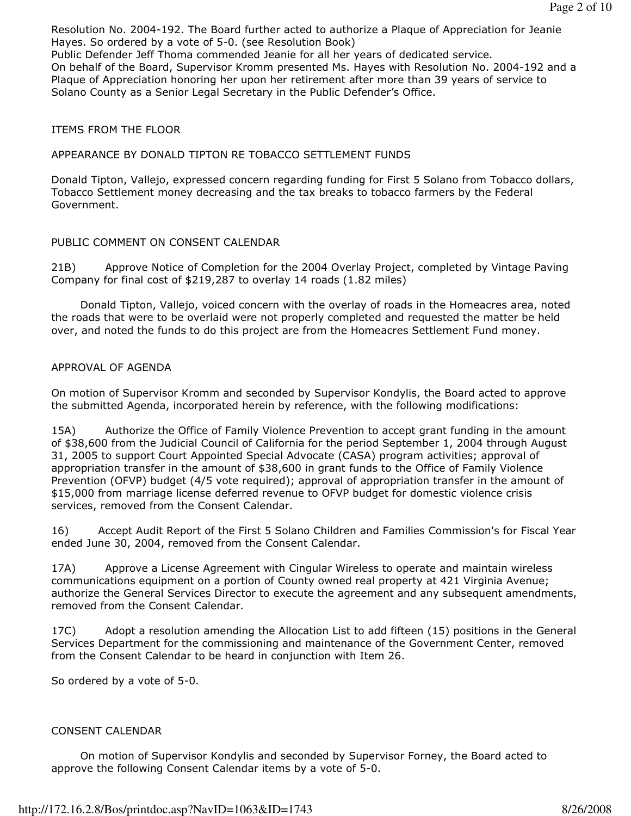Resolution No. 2004-192. The Board further acted to authorize a Plaque of Appreciation for Jeanie Hayes. So ordered by a vote of 5-0. (see Resolution Book)

Public Defender Jeff Thoma commended Jeanie for all her years of dedicated service.

On behalf of the Board, Supervisor Kromm presented Ms. Hayes with Resolution No. 2004-192 and a Plaque of Appreciation honoring her upon her retirement after more than 39 years of service to Solano County as a Senior Legal Secretary in the Public Defender's Office.

#### ITEMS FROM THE FLOOR

#### APPEARANCE BY DONALD TIPTON RE TOBACCO SETTLEMENT FUNDS

Donald Tipton, Vallejo, expressed concern regarding funding for First 5 Solano from Tobacco dollars, Tobacco Settlement money decreasing and the tax breaks to tobacco farmers by the Federal Government.

#### PUBLIC COMMENT ON CONSENT CALENDAR

21B) Approve Notice of Completion for the 2004 Overlay Project, completed by Vintage Paving Company for final cost of \$219,287 to overlay 14 roads (1.82 miles)

 Donald Tipton, Vallejo, voiced concern with the overlay of roads in the Homeacres area, noted the roads that were to be overlaid were not properly completed and requested the matter be held over, and noted the funds to do this project are from the Homeacres Settlement Fund money.

#### APPROVAL OF AGENDA

On motion of Supervisor Kromm and seconded by Supervisor Kondylis, the Board acted to approve the submitted Agenda, incorporated herein by reference, with the following modifications:

15A) Authorize the Office of Family Violence Prevention to accept grant funding in the amount of \$38,600 from the Judicial Council of California for the period September 1, 2004 through August 31, 2005 to support Court Appointed Special Advocate (CASA) program activities; approval of appropriation transfer in the amount of \$38,600 in grant funds to the Office of Family Violence Prevention (OFVP) budget (4/5 vote required); approval of appropriation transfer in the amount of \$15,000 from marriage license deferred revenue to OFVP budget for domestic violence crisis services, removed from the Consent Calendar.

16) Accept Audit Report of the First 5 Solano Children and Families Commission's for Fiscal Year ended June 30, 2004, removed from the Consent Calendar.

17A) Approve a License Agreement with Cingular Wireless to operate and maintain wireless communications equipment on a portion of County owned real property at 421 Virginia Avenue; authorize the General Services Director to execute the agreement and any subsequent amendments, removed from the Consent Calendar.

17C) Adopt a resolution amending the Allocation List to add fifteen (15) positions in the General Services Department for the commissioning and maintenance of the Government Center, removed from the Consent Calendar to be heard in conjunction with Item 26.

So ordered by a vote of 5-0.

#### CONSENT CALENDAR

 On motion of Supervisor Kondylis and seconded by Supervisor Forney, the Board acted to approve the following Consent Calendar items by a vote of 5-0.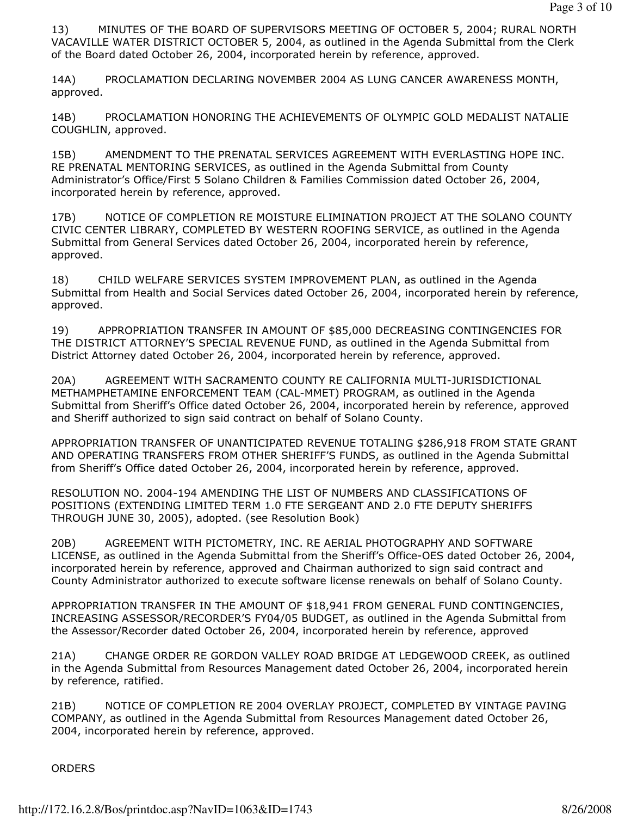13) MINUTES OF THE BOARD OF SUPERVISORS MEETING OF OCTOBER 5, 2004; RURAL NORTH VACAVILLE WATER DISTRICT OCTOBER 5, 2004, as outlined in the Agenda Submittal from the Clerk of the Board dated October 26, 2004, incorporated herein by reference, approved.

14A) PROCLAMATION DECLARING NOVEMBER 2004 AS LUNG CANCER AWARENESS MONTH, approved.

14B) PROCLAMATION HONORING THE ACHIEVEMENTS OF OLYMPIC GOLD MEDALIST NATALIE COUGHLIN, approved.

15B) AMENDMENT TO THE PRENATAL SERVICES AGREEMENT WITH EVERLASTING HOPE INC. RE PRENATAL MENTORING SERVICES, as outlined in the Agenda Submittal from County Administrator's Office/First 5 Solano Children & Families Commission dated October 26, 2004, incorporated herein by reference, approved.

17B) NOTICE OF COMPLETION RE MOISTURE ELIMINATION PROJECT AT THE SOLANO COUNTY CIVIC CENTER LIBRARY, COMPLETED BY WESTERN ROOFING SERVICE, as outlined in the Agenda Submittal from General Services dated October 26, 2004, incorporated herein by reference, approved.

18) CHILD WELFARE SERVICES SYSTEM IMPROVEMENT PLAN, as outlined in the Agenda Submittal from Health and Social Services dated October 26, 2004, incorporated herein by reference, approved.

19) APPROPRIATION TRANSFER IN AMOUNT OF \$85,000 DECREASING CONTINGENCIES FOR THE DISTRICT ATTORNEY'S SPECIAL REVENUE FUND, as outlined in the Agenda Submittal from District Attorney dated October 26, 2004, incorporated herein by reference, approved.

20A) AGREEMENT WITH SACRAMENTO COUNTY RE CALIFORNIA MULTI-JURISDICTIONAL METHAMPHETAMINE ENFORCEMENT TEAM (CAL-MMET) PROGRAM, as outlined in the Agenda Submittal from Sheriff's Office dated October 26, 2004, incorporated herein by reference, approved and Sheriff authorized to sign said contract on behalf of Solano County.

APPROPRIATION TRANSFER OF UNANTICIPATED REVENUE TOTALING \$286,918 FROM STATE GRANT AND OPERATING TRANSFERS FROM OTHER SHERIFF'S FUNDS, as outlined in the Agenda Submittal from Sheriff's Office dated October 26, 2004, incorporated herein by reference, approved.

RESOLUTION NO. 2004-194 AMENDING THE LIST OF NUMBERS AND CLASSIFICATIONS OF POSITIONS (EXTENDING LIMITED TERM 1.0 FTE SERGEANT AND 2.0 FTE DEPUTY SHERIFFS THROUGH JUNE 30, 2005), adopted. (see Resolution Book)

20B) AGREEMENT WITH PICTOMETRY, INC. RE AERIAL PHOTOGRAPHY AND SOFTWARE LICENSE, as outlined in the Agenda Submittal from the Sheriff's Office-OES dated October 26, 2004, incorporated herein by reference, approved and Chairman authorized to sign said contract and County Administrator authorized to execute software license renewals on behalf of Solano County.

APPROPRIATION TRANSFER IN THE AMOUNT OF \$18,941 FROM GENERAL FUND CONTINGENCIES, INCREASING ASSESSOR/RECORDER'S FY04/05 BUDGET, as outlined in the Agenda Submittal from the Assessor/Recorder dated October 26, 2004, incorporated herein by reference, approved

21A) CHANGE ORDER RE GORDON VALLEY ROAD BRIDGE AT LEDGEWOOD CREEK, as outlined in the Agenda Submittal from Resources Management dated October 26, 2004, incorporated herein by reference, ratified.

21B) NOTICE OF COMPLETION RE 2004 OVERLAY PROJECT, COMPLETED BY VINTAGE PAVING COMPANY, as outlined in the Agenda Submittal from Resources Management dated October 26, 2004, incorporated herein by reference, approved.

ORDERS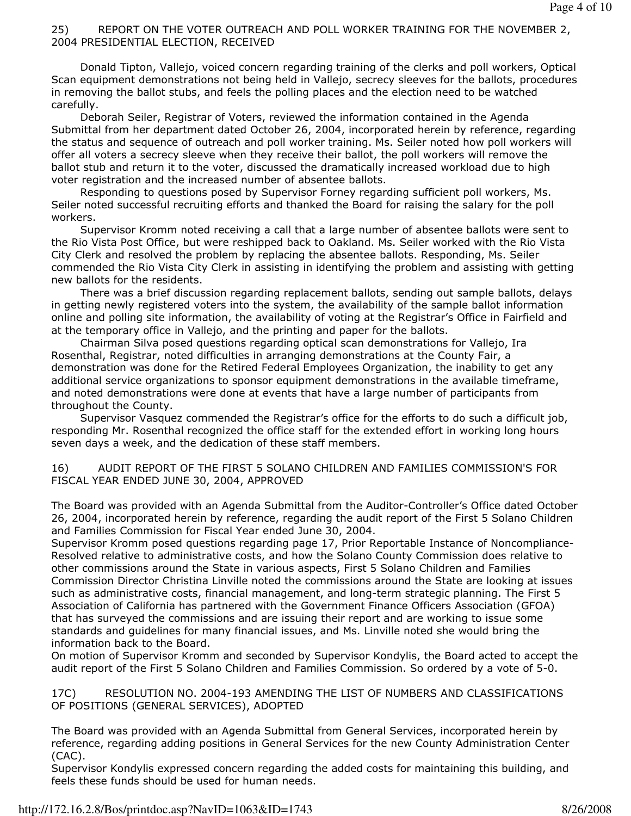#### 25) REPORT ON THE VOTER OUTREACH AND POLL WORKER TRAINING FOR THE NOVEMBER 2, 2004 PRESIDENTIAL ELECTION, RECEIVED

 Donald Tipton, Vallejo, voiced concern regarding training of the clerks and poll workers, Optical Scan equipment demonstrations not being held in Vallejo, secrecy sleeves for the ballots, procedures in removing the ballot stubs, and feels the polling places and the election need to be watched carefully.

 Deborah Seiler, Registrar of Voters, reviewed the information contained in the Agenda Submittal from her department dated October 26, 2004, incorporated herein by reference, regarding the status and sequence of outreach and poll worker training. Ms. Seiler noted how poll workers will offer all voters a secrecy sleeve when they receive their ballot, the poll workers will remove the ballot stub and return it to the voter, discussed the dramatically increased workload due to high voter registration and the increased number of absentee ballots.

 Responding to questions posed by Supervisor Forney regarding sufficient poll workers, Ms. Seiler noted successful recruiting efforts and thanked the Board for raising the salary for the poll workers.

 Supervisor Kromm noted receiving a call that a large number of absentee ballots were sent to the Rio Vista Post Office, but were reshipped back to Oakland. Ms. Seiler worked with the Rio Vista City Clerk and resolved the problem by replacing the absentee ballots. Responding, Ms. Seiler commended the Rio Vista City Clerk in assisting in identifying the problem and assisting with getting new ballots for the residents.

 There was a brief discussion regarding replacement ballots, sending out sample ballots, delays in getting newly registered voters into the system, the availability of the sample ballot information online and polling site information, the availability of voting at the Registrar's Office in Fairfield and at the temporary office in Vallejo, and the printing and paper for the ballots.

 Chairman Silva posed questions regarding optical scan demonstrations for Vallejo, Ira Rosenthal, Registrar, noted difficulties in arranging demonstrations at the County Fair, a demonstration was done for the Retired Federal Employees Organization, the inability to get any additional service organizations to sponsor equipment demonstrations in the available timeframe, and noted demonstrations were done at events that have a large number of participants from throughout the County.

 Supervisor Vasquez commended the Registrar's office for the efforts to do such a difficult job, responding Mr. Rosenthal recognized the office staff for the extended effort in working long hours seven days a week, and the dedication of these staff members.

16) AUDIT REPORT OF THE FIRST 5 SOLANO CHILDREN AND FAMILIES COMMISSION'S FOR FISCAL YEAR ENDED JUNE 30, 2004, APPROVED

The Board was provided with an Agenda Submittal from the Auditor-Controller's Office dated October 26, 2004, incorporated herein by reference, regarding the audit report of the First 5 Solano Children and Families Commission for Fiscal Year ended June 30, 2004.

Supervisor Kromm posed questions regarding page 17, Prior Reportable Instance of Noncompliance-Resolved relative to administrative costs, and how the Solano County Commission does relative to other commissions around the State in various aspects, First 5 Solano Children and Families Commission Director Christina Linville noted the commissions around the State are looking at issues such as administrative costs, financial management, and long-term strategic planning. The First 5 Association of California has partnered with the Government Finance Officers Association (GFOA) that has surveyed the commissions and are issuing their report and are working to issue some standards and guidelines for many financial issues, and Ms. Linville noted she would bring the information back to the Board.

On motion of Supervisor Kromm and seconded by Supervisor Kondylis, the Board acted to accept the audit report of the First 5 Solano Children and Families Commission. So ordered by a vote of 5-0.

17C) RESOLUTION NO. 2004-193 AMENDING THE LIST OF NUMBERS AND CLASSIFICATIONS OF POSITIONS (GENERAL SERVICES), ADOPTED

The Board was provided with an Agenda Submittal from General Services, incorporated herein by reference, regarding adding positions in General Services for the new County Administration Center (CAC).

Supervisor Kondylis expressed concern regarding the added costs for maintaining this building, and feels these funds should be used for human needs.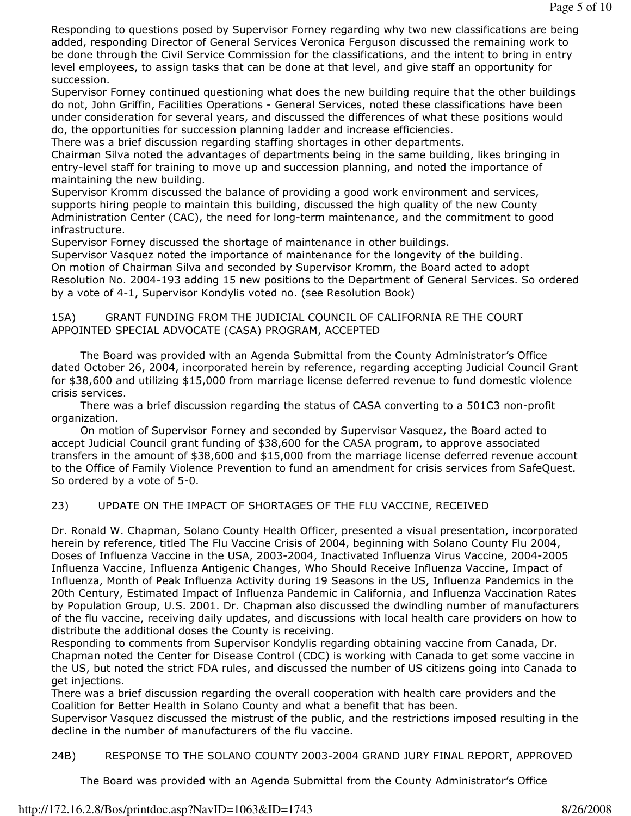Responding to questions posed by Supervisor Forney regarding why two new classifications are being added, responding Director of General Services Veronica Ferguson discussed the remaining work to be done through the Civil Service Commission for the classifications, and the intent to bring in entry level employees, to assign tasks that can be done at that level, and give staff an opportunity for succession.

Supervisor Forney continued questioning what does the new building require that the other buildings do not, John Griffin, Facilities Operations - General Services, noted these classifications have been under consideration for several years, and discussed the differences of what these positions would do, the opportunities for succession planning ladder and increase efficiencies.

There was a brief discussion regarding staffing shortages in other departments.

Chairman Silva noted the advantages of departments being in the same building, likes bringing in entry-level staff for training to move up and succession planning, and noted the importance of maintaining the new building.

Supervisor Kromm discussed the balance of providing a good work environment and services, supports hiring people to maintain this building, discussed the high quality of the new County Administration Center (CAC), the need for long-term maintenance, and the commitment to good infrastructure.

Supervisor Forney discussed the shortage of maintenance in other buildings.

Supervisor Vasquez noted the importance of maintenance for the longevity of the building. On motion of Chairman Silva and seconded by Supervisor Kromm, the Board acted to adopt Resolution No. 2004-193 adding 15 new positions to the Department of General Services. So ordered by a vote of 4-1, Supervisor Kondylis voted no. (see Resolution Book)

#### 15A) GRANT FUNDING FROM THE JUDICIAL COUNCIL OF CALIFORNIA RE THE COURT APPOINTED SPECIAL ADVOCATE (CASA) PROGRAM, ACCEPTED

 The Board was provided with an Agenda Submittal from the County Administrator's Office dated October 26, 2004, incorporated herein by reference, regarding accepting Judicial Council Grant for \$38,600 and utilizing \$15,000 from marriage license deferred revenue to fund domestic violence crisis services.

 There was a brief discussion regarding the status of CASA converting to a 501C3 non-profit organization.

 On motion of Supervisor Forney and seconded by Supervisor Vasquez, the Board acted to accept Judicial Council grant funding of \$38,600 for the CASA program, to approve associated transfers in the amount of \$38,600 and \$15,000 from the marriage license deferred revenue account to the Office of Family Violence Prevention to fund an amendment for crisis services from SafeQuest. So ordered by a vote of 5-0.

### 23) UPDATE ON THE IMPACT OF SHORTAGES OF THE FLU VACCINE, RECEIVED

Dr. Ronald W. Chapman, Solano County Health Officer, presented a visual presentation, incorporated herein by reference, titled The Flu Vaccine Crisis of 2004, beginning with Solano County Flu 2004, Doses of Influenza Vaccine in the USA, 2003-2004, Inactivated Influenza Virus Vaccine, 2004-2005 Influenza Vaccine, Influenza Antigenic Changes, Who Should Receive Influenza Vaccine, Impact of Influenza, Month of Peak Influenza Activity during 19 Seasons in the US, Influenza Pandemics in the 20th Century, Estimated Impact of Influenza Pandemic in California, and Influenza Vaccination Rates by Population Group, U.S. 2001. Dr. Chapman also discussed the dwindling number of manufacturers of the flu vaccine, receiving daily updates, and discussions with local health care providers on how to distribute the additional doses the County is receiving.

Responding to comments from Supervisor Kondylis regarding obtaining vaccine from Canada, Dr. Chapman noted the Center for Disease Control (CDC) is working with Canada to get some vaccine in the US, but noted the strict FDA rules, and discussed the number of US citizens going into Canada to get injections.

There was a brief discussion regarding the overall cooperation with health care providers and the Coalition for Better Health in Solano County and what a benefit that has been.

Supervisor Vasquez discussed the mistrust of the public, and the restrictions imposed resulting in the decline in the number of manufacturers of the flu vaccine.

24B) RESPONSE TO THE SOLANO COUNTY 2003-2004 GRAND JURY FINAL REPORT, APPROVED

The Board was provided with an Agenda Submittal from the County Administrator's Office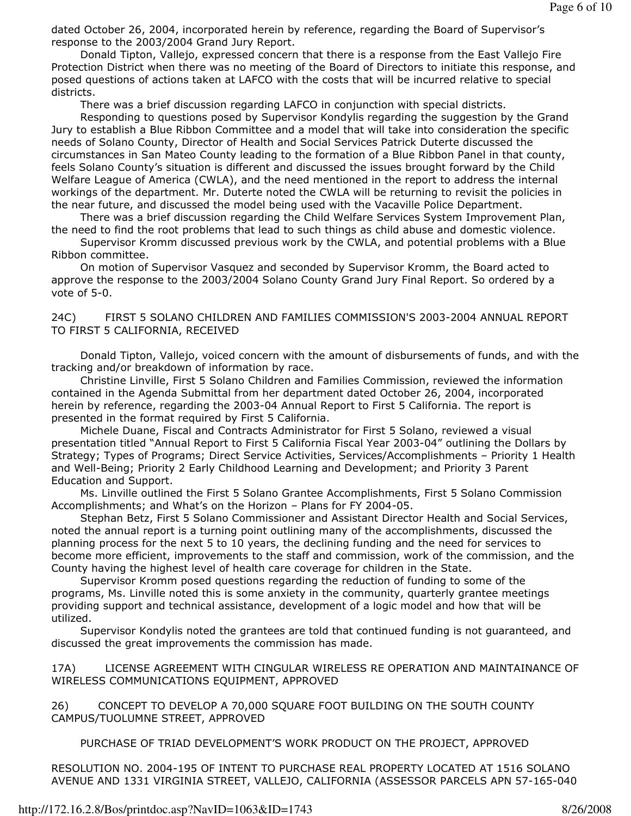dated October 26, 2004, incorporated herein by reference, regarding the Board of Supervisor's response to the 2003/2004 Grand Jury Report.

 Donald Tipton, Vallejo, expressed concern that there is a response from the East Vallejo Fire Protection District when there was no meeting of the Board of Directors to initiate this response, and posed questions of actions taken at LAFCO with the costs that will be incurred relative to special districts.

There was a brief discussion regarding LAFCO in conjunction with special districts.

 Responding to questions posed by Supervisor Kondylis regarding the suggestion by the Grand Jury to establish a Blue Ribbon Committee and a model that will take into consideration the specific needs of Solano County, Director of Health and Social Services Patrick Duterte discussed the circumstances in San Mateo County leading to the formation of a Blue Ribbon Panel in that county, feels Solano County's situation is different and discussed the issues brought forward by the Child Welfare League of America (CWLA), and the need mentioned in the report to address the internal workings of the department. Mr. Duterte noted the CWLA will be returning to revisit the policies in the near future, and discussed the model being used with the Vacaville Police Department.

 There was a brief discussion regarding the Child Welfare Services System Improvement Plan, the need to find the root problems that lead to such things as child abuse and domestic violence.

 Supervisor Kromm discussed previous work by the CWLA, and potential problems with a Blue Ribbon committee.

 On motion of Supervisor Vasquez and seconded by Supervisor Kromm, the Board acted to approve the response to the 2003/2004 Solano County Grand Jury Final Report. So ordered by a vote of 5-0.

#### 24C) FIRST 5 SOLANO CHILDREN AND FAMILIES COMMISSION'S 2003-2004 ANNUAL REPORT TO FIRST 5 CALIFORNIA, RECEIVED

 Donald Tipton, Vallejo, voiced concern with the amount of disbursements of funds, and with the tracking and/or breakdown of information by race.

 Christine Linville, First 5 Solano Children and Families Commission, reviewed the information contained in the Agenda Submittal from her department dated October 26, 2004, incorporated herein by reference, regarding the 2003-04 Annual Report to First 5 California. The report is presented in the format required by First 5 California.

 Michele Duane, Fiscal and Contracts Administrator for First 5 Solano, reviewed a visual presentation titled "Annual Report to First 5 California Fiscal Year 2003-04" outlining the Dollars by Strategy; Types of Programs; Direct Service Activities, Services/Accomplishments – Priority 1 Health and Well-Being; Priority 2 Early Childhood Learning and Development; and Priority 3 Parent Education and Support.

 Ms. Linville outlined the First 5 Solano Grantee Accomplishments, First 5 Solano Commission Accomplishments; and What's on the Horizon – Plans for FY 2004-05.

 Stephan Betz, First 5 Solano Commissioner and Assistant Director Health and Social Services, noted the annual report is a turning point outlining many of the accomplishments, discussed the planning process for the next 5 to 10 years, the declining funding and the need for services to become more efficient, improvements to the staff and commission, work of the commission, and the County having the highest level of health care coverage for children in the State.

 Supervisor Kromm posed questions regarding the reduction of funding to some of the programs, Ms. Linville noted this is some anxiety in the community, quarterly grantee meetings providing support and technical assistance, development of a logic model and how that will be utilized.

 Supervisor Kondylis noted the grantees are told that continued funding is not guaranteed, and discussed the great improvements the commission has made.

17A) LICENSE AGREEMENT WITH CINGULAR WIRELESS RE OPERATION AND MAINTAINANCE OF WIRELESS COMMUNICATIONS EQUIPMENT, APPROVED

26) CONCEPT TO DEVELOP A 70,000 SQUARE FOOT BUILDING ON THE SOUTH COUNTY CAMPUS/TUOLUMNE STREET, APPROVED

PURCHASE OF TRIAD DEVELOPMENT'S WORK PRODUCT ON THE PROJECT, APPROVED

RESOLUTION NO. 2004-195 OF INTENT TO PURCHASE REAL PROPERTY LOCATED AT 1516 SOLANO AVENUE AND 1331 VIRGINIA STREET, VALLEJO, CALIFORNIA (ASSESSOR PARCELS APN 57-165-040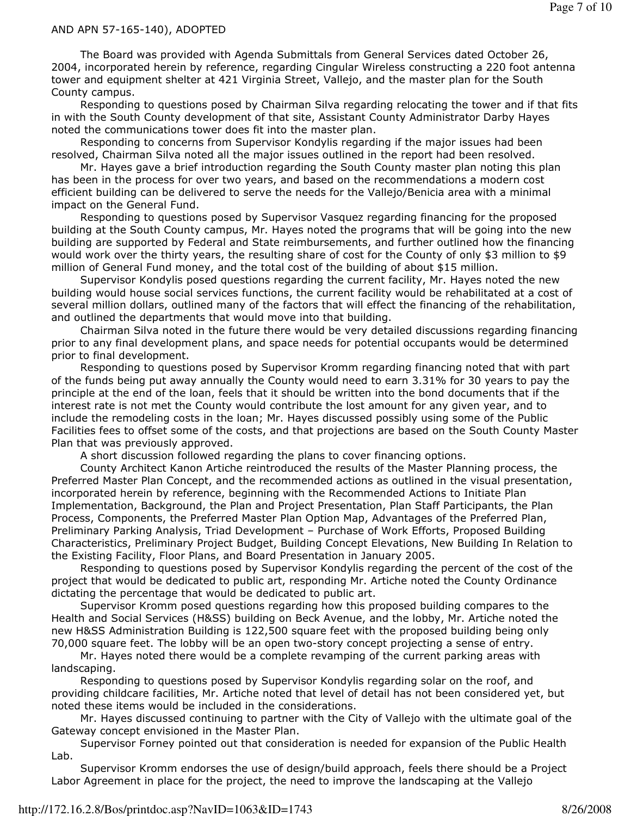#### AND APN 57-165-140), ADOPTED

 The Board was provided with Agenda Submittals from General Services dated October 26, 2004, incorporated herein by reference, regarding Cingular Wireless constructing a 220 foot antenna tower and equipment shelter at 421 Virginia Street, Vallejo, and the master plan for the South County campus.

 Responding to questions posed by Chairman Silva regarding relocating the tower and if that fits in with the South County development of that site, Assistant County Administrator Darby Hayes noted the communications tower does fit into the master plan.

 Responding to concerns from Supervisor Kondylis regarding if the major issues had been resolved, Chairman Silva noted all the major issues outlined in the report had been resolved.

 Mr. Hayes gave a brief introduction regarding the South County master plan noting this plan has been in the process for over two years, and based on the recommendations a modern cost efficient building can be delivered to serve the needs for the Vallejo/Benicia area with a minimal impact on the General Fund.

 Responding to questions posed by Supervisor Vasquez regarding financing for the proposed building at the South County campus, Mr. Hayes noted the programs that will be going into the new building are supported by Federal and State reimbursements, and further outlined how the financing would work over the thirty years, the resulting share of cost for the County of only \$3 million to \$9 million of General Fund money, and the total cost of the building of about \$15 million.

 Supervisor Kondylis posed questions regarding the current facility, Mr. Hayes noted the new building would house social services functions, the current facility would be rehabilitated at a cost of several million dollars, outlined many of the factors that will effect the financing of the rehabilitation, and outlined the departments that would move into that building.

 Chairman Silva noted in the future there would be very detailed discussions regarding financing prior to any final development plans, and space needs for potential occupants would be determined prior to final development.

 Responding to questions posed by Supervisor Kromm regarding financing noted that with part of the funds being put away annually the County would need to earn 3.31% for 30 years to pay the principle at the end of the loan, feels that it should be written into the bond documents that if the interest rate is not met the County would contribute the lost amount for any given year, and to include the remodeling costs in the loan; Mr. Hayes discussed possibly using some of the Public Facilities fees to offset some of the costs, and that projections are based on the South County Master Plan that was previously approved.

A short discussion followed regarding the plans to cover financing options.

 County Architect Kanon Artiche reintroduced the results of the Master Planning process, the Preferred Master Plan Concept, and the recommended actions as outlined in the visual presentation, incorporated herein by reference, beginning with the Recommended Actions to Initiate Plan Implementation, Background, the Plan and Project Presentation, Plan Staff Participants, the Plan Process, Components, the Preferred Master Plan Option Map, Advantages of the Preferred Plan, Preliminary Parking Analysis, Triad Development – Purchase of Work Efforts, Proposed Building Characteristics, Preliminary Project Budget, Building Concept Elevations, New Building In Relation to the Existing Facility, Floor Plans, and Board Presentation in January 2005.

 Responding to questions posed by Supervisor Kondylis regarding the percent of the cost of the project that would be dedicated to public art, responding Mr. Artiche noted the County Ordinance dictating the percentage that would be dedicated to public art.

 Supervisor Kromm posed questions regarding how this proposed building compares to the Health and Social Services (H&SS) building on Beck Avenue, and the lobby, Mr. Artiche noted the new H&SS Administration Building is 122,500 square feet with the proposed building being only 70,000 square feet. The lobby will be an open two-story concept projecting a sense of entry.

 Mr. Hayes noted there would be a complete revamping of the current parking areas with landscaping.

 Responding to questions posed by Supervisor Kondylis regarding solar on the roof, and providing childcare facilities, Mr. Artiche noted that level of detail has not been considered yet, but noted these items would be included in the considerations.

 Mr. Hayes discussed continuing to partner with the City of Vallejo with the ultimate goal of the Gateway concept envisioned in the Master Plan.

 Supervisor Forney pointed out that consideration is needed for expansion of the Public Health Lab.

 Supervisor Kromm endorses the use of design/build approach, feels there should be a Project Labor Agreement in place for the project, the need to improve the landscaping at the Vallejo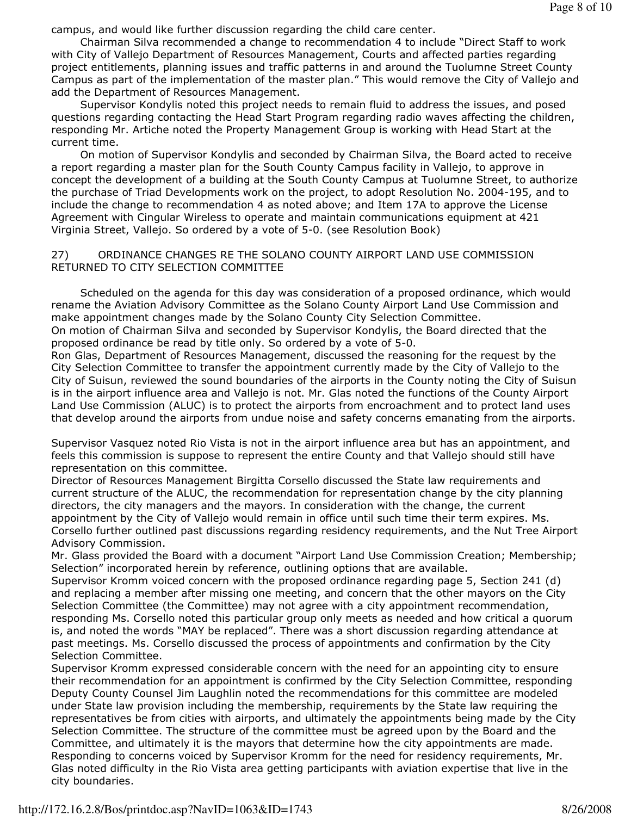campus, and would like further discussion regarding the child care center.

 Chairman Silva recommended a change to recommendation 4 to include "Direct Staff to work with City of Vallejo Department of Resources Management, Courts and affected parties regarding project entitlements, planning issues and traffic patterns in and around the Tuolumne Street County Campus as part of the implementation of the master plan." This would remove the City of Vallejo and add the Department of Resources Management.

 Supervisor Kondylis noted this project needs to remain fluid to address the issues, and posed questions regarding contacting the Head Start Program regarding radio waves affecting the children, responding Mr. Artiche noted the Property Management Group is working with Head Start at the current time.

 On motion of Supervisor Kondylis and seconded by Chairman Silva, the Board acted to receive a report regarding a master plan for the South County Campus facility in Vallejo, to approve in concept the development of a building at the South County Campus at Tuolumne Street, to authorize the purchase of Triad Developments work on the project, to adopt Resolution No. 2004-195, and to include the change to recommendation 4 as noted above; and Item 17A to approve the License Agreement with Cingular Wireless to operate and maintain communications equipment at 421 Virginia Street, Vallejo. So ordered by a vote of 5-0. (see Resolution Book)

### 27) ORDINANCE CHANGES RE THE SOLANO COUNTY AIRPORT LAND USE COMMISSION RETURNED TO CITY SELECTION COMMITTEE

 Scheduled on the agenda for this day was consideration of a proposed ordinance, which would rename the Aviation Advisory Committee as the Solano County Airport Land Use Commission and make appointment changes made by the Solano County City Selection Committee. On motion of Chairman Silva and seconded by Supervisor Kondylis, the Board directed that the proposed ordinance be read by title only. So ordered by a vote of 5-0.

Ron Glas, Department of Resources Management, discussed the reasoning for the request by the City Selection Committee to transfer the appointment currently made by the City of Vallejo to the City of Suisun, reviewed the sound boundaries of the airports in the County noting the City of Suisun is in the airport influence area and Vallejo is not. Mr. Glas noted the functions of the County Airport Land Use Commission (ALUC) is to protect the airports from encroachment and to protect land uses that develop around the airports from undue noise and safety concerns emanating from the airports.

Supervisor Vasquez noted Rio Vista is not in the airport influence area but has an appointment, and feels this commission is suppose to represent the entire County and that Vallejo should still have representation on this committee.

Director of Resources Management Birgitta Corsello discussed the State law requirements and current structure of the ALUC, the recommendation for representation change by the city planning directors, the city managers and the mayors. In consideration with the change, the current appointment by the City of Vallejo would remain in office until such time their term expires. Ms. Corsello further outlined past discussions regarding residency requirements, and the Nut Tree Airport Advisory Commission.

Mr. Glass provided the Board with a document "Airport Land Use Commission Creation; Membership; Selection" incorporated herein by reference, outlining options that are available.

Supervisor Kromm voiced concern with the proposed ordinance regarding page 5, Section 241 (d) and replacing a member after missing one meeting, and concern that the other mayors on the City Selection Committee (the Committee) may not agree with a city appointment recommendation, responding Ms. Corsello noted this particular group only meets as needed and how critical a quorum is, and noted the words "MAY be replaced". There was a short discussion regarding attendance at past meetings. Ms. Corsello discussed the process of appointments and confirmation by the City Selection Committee.

Supervisor Kromm expressed considerable concern with the need for an appointing city to ensure their recommendation for an appointment is confirmed by the City Selection Committee, responding Deputy County Counsel Jim Laughlin noted the recommendations for this committee are modeled under State law provision including the membership, requirements by the State law requiring the representatives be from cities with airports, and ultimately the appointments being made by the City Selection Committee. The structure of the committee must be agreed upon by the Board and the Committee, and ultimately it is the mayors that determine how the city appointments are made. Responding to concerns voiced by Supervisor Kromm for the need for residency requirements, Mr. Glas noted difficulty in the Rio Vista area getting participants with aviation expertise that live in the city boundaries.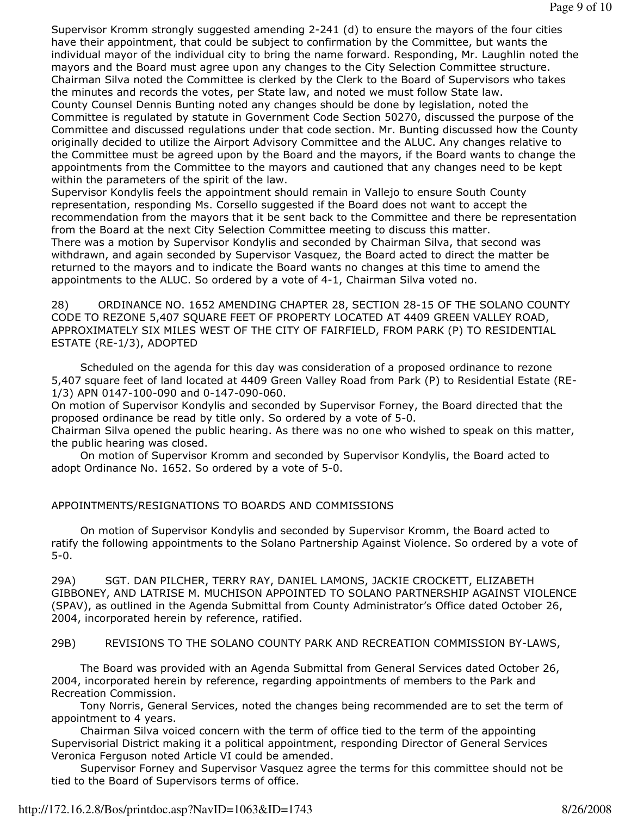Supervisor Kromm strongly suggested amending 2-241 (d) to ensure the mayors of the four cities have their appointment, that could be subject to confirmation by the Committee, but wants the individual mayor of the individual city to bring the name forward. Responding, Mr. Laughlin noted the mayors and the Board must agree upon any changes to the City Selection Committee structure. Chairman Silva noted the Committee is clerked by the Clerk to the Board of Supervisors who takes the minutes and records the votes, per State law, and noted we must follow State law. County Counsel Dennis Bunting noted any changes should be done by legislation, noted the Committee is regulated by statute in Government Code Section 50270, discussed the purpose of the Committee and discussed regulations under that code section. Mr. Bunting discussed how the County originally decided to utilize the Airport Advisory Committee and the ALUC. Any changes relative to the Committee must be agreed upon by the Board and the mayors, if the Board wants to change the appointments from the Committee to the mayors and cautioned that any changes need to be kept within the parameters of the spirit of the law.

Supervisor Kondylis feels the appointment should remain in Vallejo to ensure South County representation, responding Ms. Corsello suggested if the Board does not want to accept the recommendation from the mayors that it be sent back to the Committee and there be representation from the Board at the next City Selection Committee meeting to discuss this matter. There was a motion by Supervisor Kondylis and seconded by Chairman Silva, that second was withdrawn, and again seconded by Supervisor Vasquez, the Board acted to direct the matter be returned to the mayors and to indicate the Board wants no changes at this time to amend the appointments to the ALUC. So ordered by a vote of 4-1, Chairman Silva voted no.

28) ORDINANCE NO. 1652 AMENDING CHAPTER 28, SECTION 28-15 OF THE SOLANO COUNTY CODE TO REZONE 5,407 SQUARE FEET OF PROPERTY LOCATED AT 4409 GREEN VALLEY ROAD, APPROXIMATELY SIX MILES WEST OF THE CITY OF FAIRFIELD, FROM PARK (P) TO RESIDENTIAL ESTATE (RE-1/3), ADOPTED

 Scheduled on the agenda for this day was consideration of a proposed ordinance to rezone 5,407 square feet of land located at 4409 Green Valley Road from Park (P) to Residential Estate (RE-1/3) APN 0147-100-090 and 0-147-090-060.

On motion of Supervisor Kondylis and seconded by Supervisor Forney, the Board directed that the proposed ordinance be read by title only. So ordered by a vote of 5-0.

Chairman Silva opened the public hearing. As there was no one who wished to speak on this matter, the public hearing was closed.

 On motion of Supervisor Kromm and seconded by Supervisor Kondylis, the Board acted to adopt Ordinance No. 1652. So ordered by a vote of 5-0.

#### APPOINTMENTS/RESIGNATIONS TO BOARDS AND COMMISSIONS

 On motion of Supervisor Kondylis and seconded by Supervisor Kromm, the Board acted to ratify the following appointments to the Solano Partnership Against Violence. So ordered by a vote of 5-0.

29A) SGT. DAN PILCHER, TERRY RAY, DANIEL LAMONS, JACKIE CROCKETT, ELIZABETH GIBBONEY, AND LATRISE M. MUCHISON APPOINTED TO SOLANO PARTNERSHIP AGAINST VIOLENCE (SPAV), as outlined in the Agenda Submittal from County Administrator's Office dated October 26, 2004, incorporated herein by reference, ratified.

#### 29B) REVISIONS TO THE SOLANO COUNTY PARK AND RECREATION COMMISSION BY-LAWS,

 The Board was provided with an Agenda Submittal from General Services dated October 26, 2004, incorporated herein by reference, regarding appointments of members to the Park and Recreation Commission.

 Tony Norris, General Services, noted the changes being recommended are to set the term of appointment to 4 years.

 Chairman Silva voiced concern with the term of office tied to the term of the appointing Supervisorial District making it a political appointment, responding Director of General Services Veronica Ferguson noted Article VI could be amended.

 Supervisor Forney and Supervisor Vasquez agree the terms for this committee should not be tied to the Board of Supervisors terms of office.